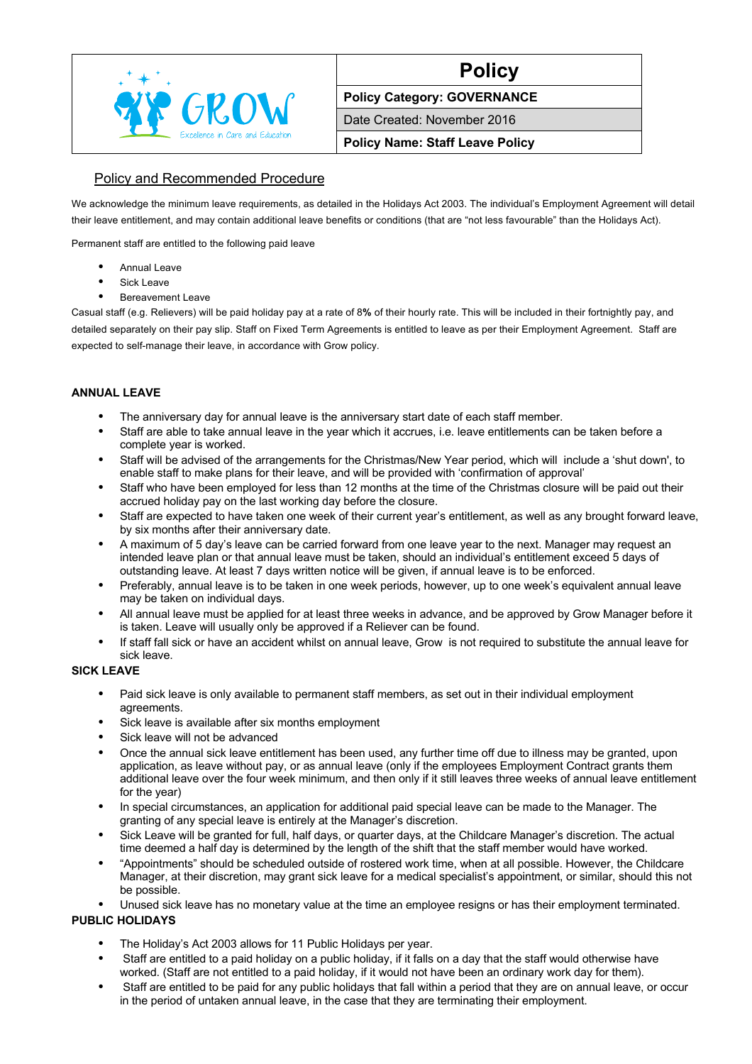

# **Policy**

**Policy Category: GOVERNANCE**

Date Created: November 2016

**Policy Name: Staff Leave Policy**

# Policy and Recommended Procedure

We acknowledge the minimum leave requirements, as detailed in the Holidays Act 2003. The individual's Employment Agreement will detail their leave entitlement, and may contain additional leave benefits or conditions (that are "not less favourable" than the Holidays Act).

Permanent staff are entitled to the following paid leave

- **•** Annual Leave
- **•** Sick Leave
- **•** Bereavement Leave

Casual staff (e.g. Relievers) will be paid holiday pay at a rate of 8**%** of their hourly rate. This will be included in their fortnightly pay, and detailed separately on their pay slip. Staff on Fixed Term Agreements is entitled to leave as per their Employment Agreement. Staff are expected to self-manage their leave, in accordance with Grow policy.

#### **ANNUAL LEAVE**

- **•** The anniversary day for annual leave is the anniversary start date of each staff member.
- **•** Staff are able to take annual leave in the year which it accrues, i.e. leave entitlements can be taken before a complete year is worked.
- **•** Staff will be advised of the arrangements for the Christmas/New Year period, which will include a 'shut down', to enable staff to make plans for their leave, and will be provided with 'confirmation of approval'
- **•** Staff who have been employed for less than 12 months at the time of the Christmas closure will be paid out their accrued holiday pay on the last working day before the closure.
- **•** Staff are expected to have taken one week of their current year's entitlement, as well as any brought forward leave, by six months after their anniversary date.
- **•** A maximum of 5 day's leave can be carried forward from one leave year to the next. Manager may request an intended leave plan or that annual leave must be taken, should an individual's entitlement exceed 5 days of outstanding leave. At least 7 days written notice will be given, if annual leave is to be enforced.
- **•** Preferably, annual leave is to be taken in one week periods, however, up to one week's equivalent annual leave may be taken on individual days.
- **•** All annual leave must be applied for at least three weeks in advance, and be approved by Grow Manager before it is taken. Leave will usually only be approved if a Reliever can be found.
- **•** If staff fall sick or have an accident whilst on annual leave, Grow is not required to substitute the annual leave for sick leave.

#### **SICK LEAVE**

- **•** Paid sick leave is only available to permanent staff members, as set out in their individual employment agreements.
- **•** Sick leave is available after six months employment
- **•** Sick leave will not be advanced
- **•** Once the annual sick leave entitlement has been used, any further time off due to illness may be granted, upon application, as leave without pay, or as annual leave (only if the employees Employment Contract grants them additional leave over the four week minimum, and then only if it still leaves three weeks of annual leave entitlement for the year)
- **•** In special circumstances, an application for additional paid special leave can be made to the Manager. The granting of any special leave is entirely at the Manager's discretion.
- **•** Sick Leave will be granted for full, half days, or quarter days, at the Childcare Manager's discretion. The actual time deemed a half day is determined by the length of the shift that the staff member would have worked.
- **•** "Appointments" should be scheduled outside of rostered work time, when at all possible. However, the Childcare Manager, at their discretion, may grant sick leave for a medical specialist's appointment, or similar, should this not be possible.
- **•** Unused sick leave has no monetary value at the time an employee resigns or has their employment terminated.

## **PUBLIC HOLIDAYS**

- **•** The Holiday's Act 2003 allows for 11 Public Holidays per year.
- **•** Staff are entitled to a paid holiday on a public holiday, if it falls on a day that the staff would otherwise have worked. (Staff are not entitled to a paid holiday, if it would not have been an ordinary work day for them).
- **•** Staff are entitled to be paid for any public holidays that fall within a period that they are on annual leave, or occur in the period of untaken annual leave, in the case that they are terminating their employment.